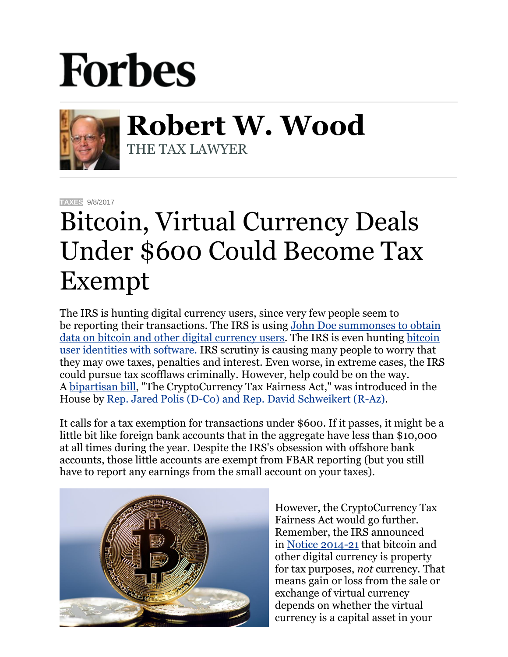## **Forbes**



**Robert W. Wood** THE TAX LAWYER

**[TAXES](https://www.forbes.com/taxes)** 9/8/2017

## Bitcoin, Virtual Currency Deals Under \$600 Could Become Tax Exempt

The IRS is hunting digital currency users, since very few people seem to be reporting their transactions. The IRS is using [John Doe summonses to obtain](http://www.forbes.com/sites/robertwood/2016/12/02/bitcoin-users-brace-for-irs-audits-from-coinbase-summons/#165e28081091)  [data on bitcoin and other digital currency users.](http://www.forbes.com/sites/robertwood/2016/12/02/bitcoin-users-brace-for-irs-audits-from-coinbase-summons/#165e28081091) The IRS is even hunting [bitcoin](https://www.google.com/url?sa=t&rct=j&q=&esrc=s&source=web&cd=1&cad=rja&uact=8&ved=0ahUKEwi_iOPT3pTWAhVk7IMKHSPLAgkQFggmMAA&url=https%3A%2F%2Fwww.forbes.com%2Fsites%2Frobertwood%2F2017%2F08%2F24%2Firs-hunts-bitcoin-user-identities-with-software-in-tax-enforcement-push%2F&usg=AFQjCNHbwuJ31es7KnfZ2oX3lvTlsJZMPA)  [user identities with software.](https://www.google.com/url?sa=t&rct=j&q=&esrc=s&source=web&cd=1&cad=rja&uact=8&ved=0ahUKEwi_iOPT3pTWAhVk7IMKHSPLAgkQFggmMAA&url=https%3A%2F%2Fwww.forbes.com%2Fsites%2Frobertwood%2F2017%2F08%2F24%2Firs-hunts-bitcoin-user-identities-with-software-in-tax-enforcement-push%2F&usg=AFQjCNHbwuJ31es7KnfZ2oX3lvTlsJZMPA) IRS scrutiny is causing many people to worry that they may owe taxes, penalties and interest. Even worse, in extreme cases, the IRS could pursue tax scofflaws criminally. However, help could be on the way. A [bipartisan bill,](https://coincenter.org/pdf/CTFA.pdf) "The CryptoCurrency Tax Fairness Act," was introduced in the House by [Rep. Jared Polis \(D-Co\) and Rep. David Schweikert \(R-Az\).](https://polis.house.gov/news/documentsingle.aspx?DocumentID=398438)

It calls for a tax exemption for transactions under \$600. If it passes, it might be a little bit like foreign bank accounts that in the aggregate have less than \$10,000 at all times during the year. Despite the IRS's obsession with offshore bank accounts, those little accounts are exempt from FBAR reporting (but you still have to report any earnings from the small account on your taxes).



However, the CryptoCurrency Tax Fairness Act would go further. Remember, the IRS announced in [Notice 2014-21](http://www.irs.gov/pub/irs-drop/n-14-21.pdf) that bitcoin and other digital currency is property for tax purposes, *not* currency. That means gain or loss from the sale or exchange of virtual currency depends on whether the virtual currency is a capital asset in your